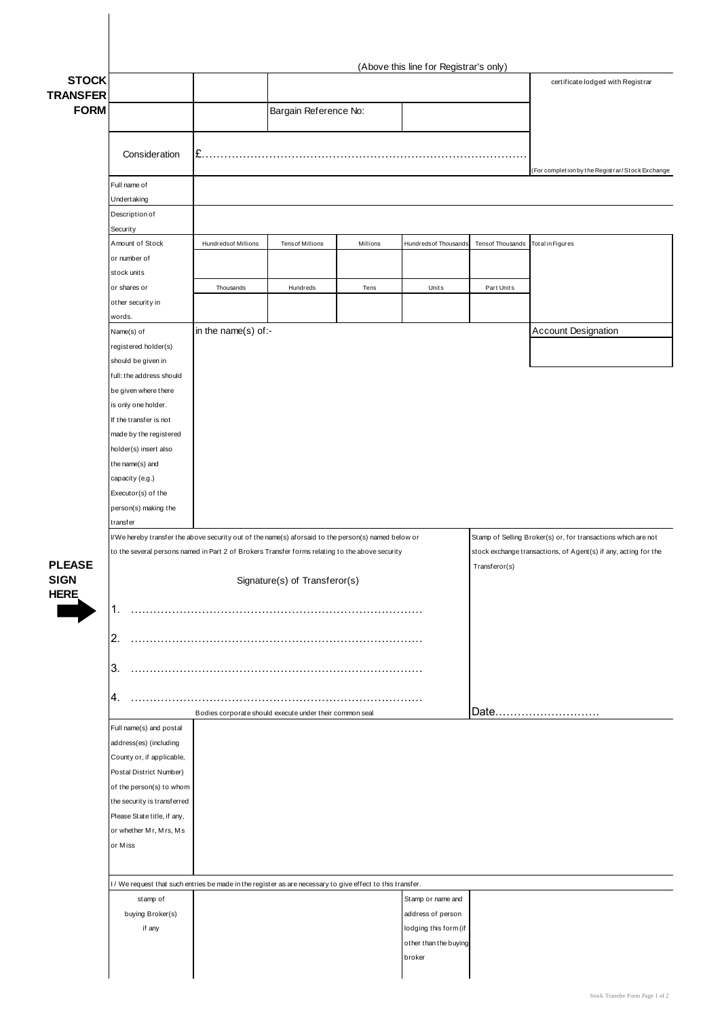|                                             | (Above this line for Registrar's only)                                                                               |                                                                                                                                                                                                        |                        |          |                       |                         |                                                                                                                                                   |  |
|---------------------------------------------|----------------------------------------------------------------------------------------------------------------------|--------------------------------------------------------------------------------------------------------------------------------------------------------------------------------------------------------|------------------------|----------|-----------------------|-------------------------|---------------------------------------------------------------------------------------------------------------------------------------------------|--|
| <b>STOCK</b>                                |                                                                                                                      |                                                                                                                                                                                                        |                        |          |                       |                         | certificate lodged with Registrar                                                                                                                 |  |
| <b>TRANSFER</b><br><b>FORM</b>              |                                                                                                                      |                                                                                                                                                                                                        |                        |          |                       |                         |                                                                                                                                                   |  |
|                                             |                                                                                                                      |                                                                                                                                                                                                        | Bargain Reference No:  |          |                       |                         |                                                                                                                                                   |  |
|                                             |                                                                                                                      |                                                                                                                                                                                                        |                        |          |                       |                         |                                                                                                                                                   |  |
|                                             | Consideration                                                                                                        | I£.                                                                                                                                                                                                    |                        |          |                       |                         |                                                                                                                                                   |  |
|                                             |                                                                                                                      |                                                                                                                                                                                                        |                        |          |                       |                         | (For completion by the Registrar/Stock Exchange                                                                                                   |  |
|                                             | Full name of                                                                                                         |                                                                                                                                                                                                        |                        |          |                       |                         |                                                                                                                                                   |  |
|                                             | Undertaking                                                                                                          |                                                                                                                                                                                                        |                        |          |                       |                         |                                                                                                                                                   |  |
|                                             | Description of<br>Security                                                                                           |                                                                                                                                                                                                        |                        |          |                       |                         |                                                                                                                                                   |  |
|                                             | Amount of Stock                                                                                                      | Hundredsof Millions                                                                                                                                                                                    | <b>Tensof Millions</b> | Millions | Hundreds of Thousands | <b>Tensof Thousands</b> | Total in Figures                                                                                                                                  |  |
|                                             | or number of                                                                                                         |                                                                                                                                                                                                        |                        |          |                       |                         |                                                                                                                                                   |  |
|                                             | stock units                                                                                                          |                                                                                                                                                                                                        |                        |          |                       |                         |                                                                                                                                                   |  |
|                                             | or shares or                                                                                                         | Thousands                                                                                                                                                                                              | Hundreds               | Tens     | Units                 | Part Units              |                                                                                                                                                   |  |
|                                             | other security in                                                                                                    |                                                                                                                                                                                                        |                        |          |                       |                         |                                                                                                                                                   |  |
|                                             | words.<br>Name(s) of                                                                                                 | in the name(s) of:-                                                                                                                                                                                    |                        |          |                       |                         | <b>Account Designation</b>                                                                                                                        |  |
|                                             | registered holder(s)                                                                                                 |                                                                                                                                                                                                        |                        |          |                       |                         |                                                                                                                                                   |  |
|                                             | should be given in                                                                                                   |                                                                                                                                                                                                        |                        |          |                       |                         |                                                                                                                                                   |  |
|                                             | full: the address should                                                                                             |                                                                                                                                                                                                        |                        |          |                       |                         |                                                                                                                                                   |  |
|                                             | be given where there                                                                                                 |                                                                                                                                                                                                        |                        |          |                       |                         |                                                                                                                                                   |  |
|                                             | is only one holder.                                                                                                  |                                                                                                                                                                                                        |                        |          |                       |                         |                                                                                                                                                   |  |
|                                             | If the transfer is not<br>made by the registered                                                                     |                                                                                                                                                                                                        |                        |          |                       |                         |                                                                                                                                                   |  |
|                                             | holder(s) insert also                                                                                                |                                                                                                                                                                                                        |                        |          |                       |                         |                                                                                                                                                   |  |
|                                             | the name(s) and                                                                                                      |                                                                                                                                                                                                        |                        |          |                       |                         |                                                                                                                                                   |  |
|                                             | capacity (e.g.)                                                                                                      |                                                                                                                                                                                                        |                        |          |                       |                         |                                                                                                                                                   |  |
|                                             | Executor(s) of the                                                                                                   |                                                                                                                                                                                                        |                        |          |                       |                         |                                                                                                                                                   |  |
|                                             | person(s) making the                                                                                                 |                                                                                                                                                                                                        |                        |          |                       |                         |                                                                                                                                                   |  |
| <b>PLEASE</b><br><b>SIGN</b><br><b>HERE</b> | transfer                                                                                                             |                                                                                                                                                                                                        |                        |          |                       |                         |                                                                                                                                                   |  |
|                                             |                                                                                                                      | I/We hereby transfer the above security out of the name(s) aforsaid to the person(s) named below or<br>to the several persons named in Part 2 of Brokers Transfer forms relating to the above security |                        |          |                       |                         | Stamp of Selling Broker(s) or, for transactions which are not<br>stock exchange transactions, of Agent(s) if any, acting for the<br>Transferor(s) |  |
|                                             |                                                                                                                      |                                                                                                                                                                                                        |                        |          |                       |                         |                                                                                                                                                   |  |
|                                             | Signature(s) of Transferor(s)                                                                                        |                                                                                                                                                                                                        |                        |          |                       |                         |                                                                                                                                                   |  |
|                                             |                                                                                                                      |                                                                                                                                                                                                        |                        |          |                       |                         |                                                                                                                                                   |  |
|                                             | 1.                                                                                                                   |                                                                                                                                                                                                        |                        |          |                       |                         |                                                                                                                                                   |  |
|                                             |                                                                                                                      |                                                                                                                                                                                                        |                        |          |                       |                         |                                                                                                                                                   |  |
|                                             |                                                                                                                      |                                                                                                                                                                                                        |                        |          |                       |                         |                                                                                                                                                   |  |
|                                             | 2.                                                                                                                   |                                                                                                                                                                                                        |                        |          |                       |                         |                                                                                                                                                   |  |
|                                             | 3.                                                                                                                   |                                                                                                                                                                                                        |                        |          |                       |                         |                                                                                                                                                   |  |
|                                             |                                                                                                                      |                                                                                                                                                                                                        |                        |          |                       |                         |                                                                                                                                                   |  |
|                                             | 4.                                                                                                                   |                                                                                                                                                                                                        |                        |          |                       |                         |                                                                                                                                                   |  |
|                                             |                                                                                                                      | Bodies corporate should execute under their common seal                                                                                                                                                |                        |          |                       |                         | Date                                                                                                                                              |  |
|                                             | Full name(s) and postal<br>address(es) (including                                                                    |                                                                                                                                                                                                        |                        |          |                       |                         |                                                                                                                                                   |  |
|                                             | County or, if applicable,                                                                                            |                                                                                                                                                                                                        |                        |          |                       |                         |                                                                                                                                                   |  |
|                                             | Postal District Number)                                                                                              |                                                                                                                                                                                                        |                        |          |                       |                         |                                                                                                                                                   |  |
|                                             | of the person(s) to whom                                                                                             |                                                                                                                                                                                                        |                        |          |                       |                         |                                                                                                                                                   |  |
|                                             | the security is transferred                                                                                          |                                                                                                                                                                                                        |                        |          |                       |                         |                                                                                                                                                   |  |
|                                             | Please State title, if any,                                                                                          |                                                                                                                                                                                                        |                        |          |                       |                         |                                                                                                                                                   |  |
|                                             | or whether Mr, Mrs, Ms<br>or Miss                                                                                    |                                                                                                                                                                                                        |                        |          |                       |                         |                                                                                                                                                   |  |
|                                             |                                                                                                                      |                                                                                                                                                                                                        |                        |          |                       |                         |                                                                                                                                                   |  |
|                                             |                                                                                                                      |                                                                                                                                                                                                        |                        |          |                       |                         |                                                                                                                                                   |  |
|                                             | I/We request that such entries be made in the register as are necessary to give effect to this transfer.<br>stamp of |                                                                                                                                                                                                        |                        |          | Stamp or name and     |                         |                                                                                                                                                   |  |
|                                             | buying Broker(s)                                                                                                     |                                                                                                                                                                                                        |                        |          | address of person     |                         |                                                                                                                                                   |  |
|                                             | if any                                                                                                               |                                                                                                                                                                                                        |                        |          | lodging this form (if |                         |                                                                                                                                                   |  |
|                                             |                                                                                                                      |                                                                                                                                                                                                        |                        |          | other than the buying |                         |                                                                                                                                                   |  |
|                                             |                                                                                                                      |                                                                                                                                                                                                        |                        |          | broker                |                         |                                                                                                                                                   |  |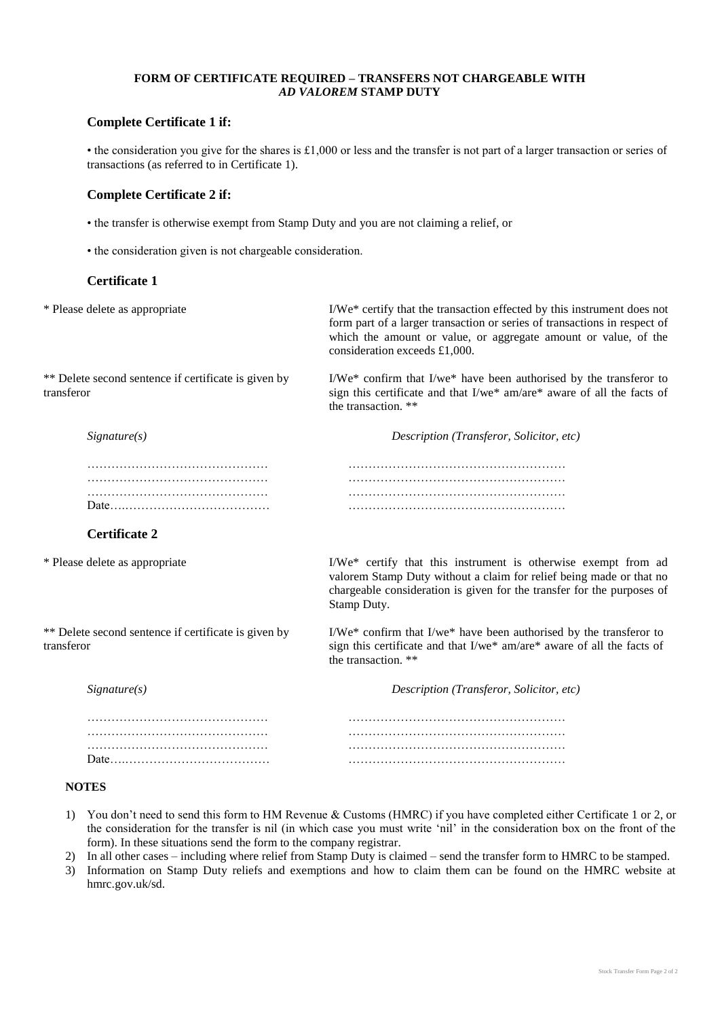### **FORM OF CERTIFICATE REQUIRED – TRANSFERS NOT CHARGEABLE WITH** *AD VALOREM* **STAMP DUTY**

## **Complete Certificate 1 if:**

• the consideration you give for the shares is £1,000 or less and the transfer is not part of a larger transaction or series of transactions (as referred to in Certificate 1).

## **Complete Certificate 2 if:**

- the transfer is otherwise exempt from Stamp Duty and you are not claiming a relief, or
- the consideration given is not chargeable consideration.

### **Certificate 1**

\* Please delete as appropriate I/We\* certify that the transaction effected by this instrument does not form part of a larger transaction or series of transactions in respect of which the amount or value, or aggregate amount or value, of the consideration exceeds £1,000.

\*\* Delete second sentence if certificate is given by transferor

I/We\* confirm that I/we\* have been authorised by the transferor to sign this certificate and that I/we\* am/are\* aware of all the facts of the transaction. \*\*

*Signature(s) Description (Transferor, Solicitor, etc)*

## **Certificate 2**

\* Please delete as appropriate I/We\* certify that this instrument is otherwise exempt from ad

\*\* Delete second sentence if certificate is given by transferor

chargeable consideration is given for the transfer for the purposes of Stamp Duty. I/We\* confirm that I/we\* have been authorised by the transferor to sign this certificate and that I/we\* am/are\* aware of all the facts of the transaction. \*\*

valorem Stamp Duty without a claim for relief being made or that no

| Signature(s) | Description (Transferor, Solicitor, etc) |
|--------------|------------------------------------------|
|              |                                          |
|              |                                          |
|              |                                          |
|              |                                          |

#### **NOTES**

- 1) You don't need to send this form to HM Revenue & Customs (HMRC) if you have completed either Certificate 1 or 2, or the consideration for the transfer is nil (in which case you must write 'nil' in the consideration box on the front of the form). In these situations send the form to the company registrar.
- 2) In all other cases including where relief from Stamp Duty is claimed send the transfer form to HMRC to be stamped.
- 3) Information on Stamp Duty reliefs and exemptions and how to claim them can be found on the HMRC website at hmrc.gov.uk/sd.